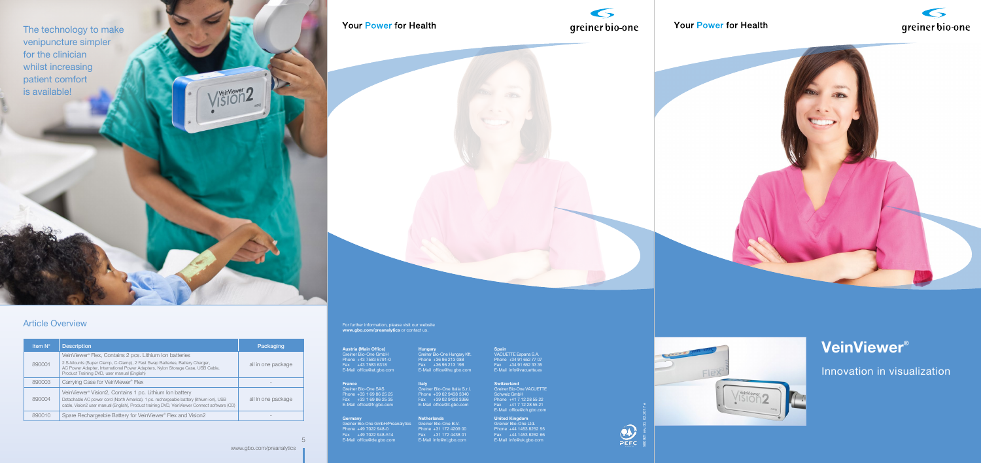5





**Hungary**

Greiner Bio-One Hungary Kft. Phone +36 96 213 088 Fax +36 96 213 198 E-Mail office@hu.gbo.com

For further information, please visit our website **www.gbo.com/preanalytics** or contact us.

## **Germany**

Greiner Bio-One GmbH/Preanalytics Phone +49 7022 948-0 Fax +49 7022 948-514 E-Mail office@de.gbo.com

**France** Greiner Bio-One SAS Phone +33 1 69 86 25 25 Fax +33 1 69 86 25 35 E-Mail office@fr.gbo.com

**Austria (Main Office)** Greiner Bio-One GmbH Phone +43 7583 6791-0 Fax +43 7583 6318 E-Mail office@at.gbo.com

**United Kingdom**

- Greiner Bio-One Ltd.
- Phone +44 1453 8252 55
- Fax +44 1453 8262 66
- E-Mail info@uk.gbo.com

**Netherlands** Greiner Bio-One B.V.

Phone +31 172 4209 00 Fax +31 172 4438 01 E-Mail info@nl.gbo.com



## Your Power for Health





#### **Spain**

VACUETTE Espana S.A. Phone +34 91 652 77 07 Fax +34 91 652 33 35 E-Mail info@vacuette.es

**Switzerland** 

Greiner Bio-One VACUETTE Schweiz GmbH Phone +41 7 12 28 55 22 Fax +41 7 12 28 55 21 E-Mail office@ch.gbo.com

**Italy** 

Greiner Bio-One Italia S.r.l. Phone +39 02 9438 3340 Fax +39 02 9438 3366 E-Mail office@it.gbo.com

# **VeinViewer®**

Innovation in visualization

| <b>Item N°</b> | <b>Description</b>                                                                                                                                                                                                                                                     | Packaging          |
|----------------|------------------------------------------------------------------------------------------------------------------------------------------------------------------------------------------------------------------------------------------------------------------------|--------------------|
| 890001         | VeinViewer® Flex, Contains 2 pcs. Lithium Ion batteries<br>2 S-Mounts (Super Clamp, C-Clamp), 2 Fast Swap Batteries, Battery Charger,<br>AC Power Adapter, International Power Adapters, Nylon Storage Case, USB Cable,<br>Product Training DVD, user manual (English) | all in one package |
| 890003         | Carrying Case for VeinViewer® Flex                                                                                                                                                                                                                                     |                    |
| 890004         | VeinViewer® Vision2, Contains 1 pc. Lithium Ion battery<br>Detachable AC power cord (North America), 1 pc. rechargeable battery (lithium ion), USB<br>cable, Vision2 user manual (English), Product training DVD, VeinViewer Connect software (CD)                     | all in one package |
| 890010         | Spare Rechargeable Battery for VeinViewer® Flex and Vision2                                                                                                                                                                                                            |                    |

The technology to make venipuncture simpler for the clinician whilst increasing patient comfort is available!

Your Power for Health

## Article Overview